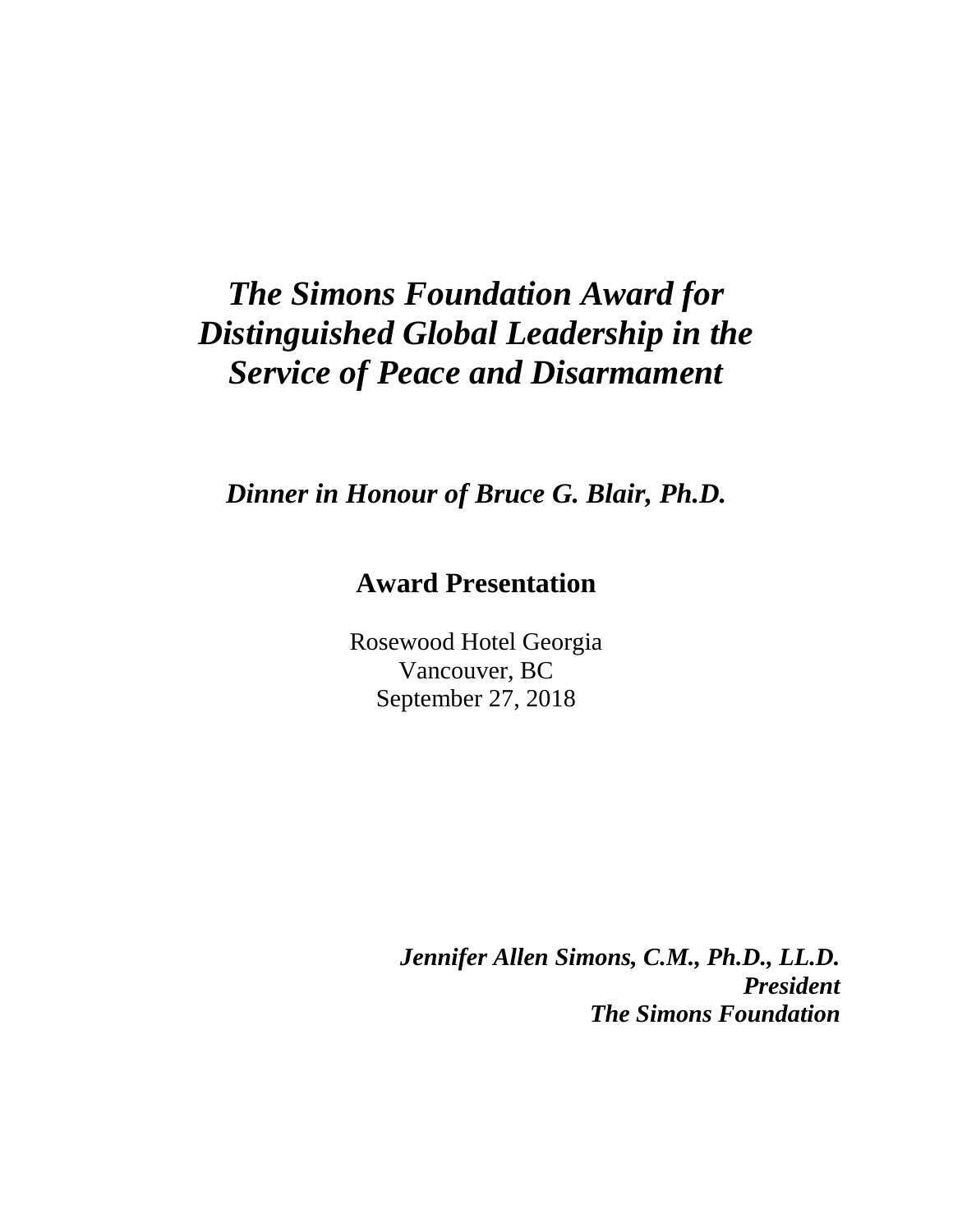## *The Simons Foundation Award for Distinguished Global Leadership in the Service of Peace and Disarmament*

*Dinner in Honour of Bruce G. Blair, Ph.D.*

## **Award Presentation**

Rosewood Hotel Georgia Vancouver, BC September 27, 2018

> *Jennifer Allen Simons, C.M., Ph.D., LL.D. President The Simons Foundation*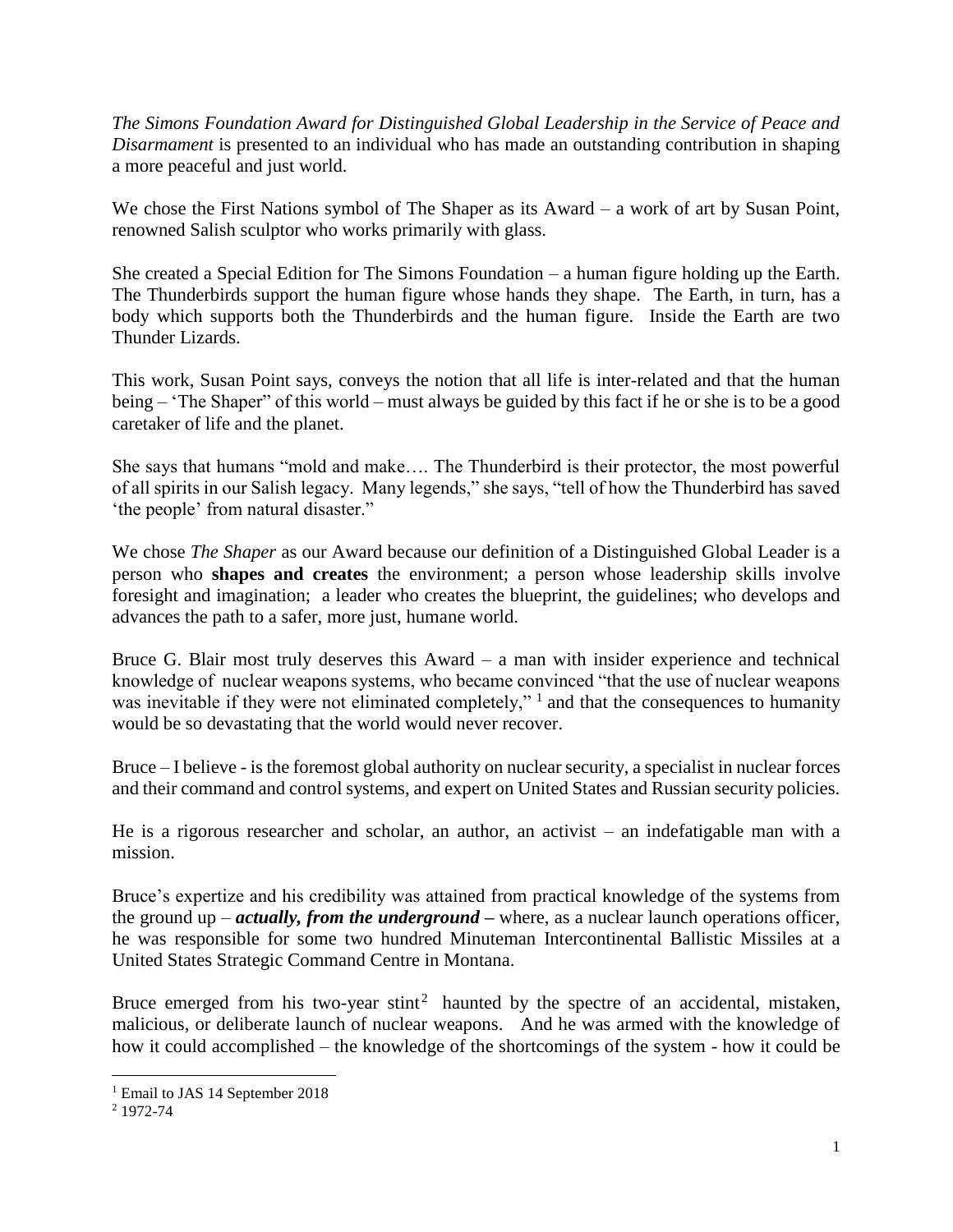*The Simons Foundation Award for Distinguished Global Leadership in the Service of Peace and Disarmament* is presented to an individual who has made an outstanding contribution in shaping a more peaceful and just world.

We chose the First Nations symbol of The Shaper as its Award – a work of art by Susan Point, renowned Salish sculptor who works primarily with glass.

She created a Special Edition for The Simons Foundation – a human figure holding up the Earth. The Thunderbirds support the human figure whose hands they shape. The Earth, in turn, has a body which supports both the Thunderbirds and the human figure. Inside the Earth are two Thunder Lizards.

This work, Susan Point says, conveys the notion that all life is inter-related and that the human being – 'The Shaper" of this world – must always be guided by this fact if he or she is to be a good caretaker of life and the planet.

She says that humans "mold and make…. The Thunderbird is their protector, the most powerful of all spirits in our Salish legacy. Many legends," she says, "tell of how the Thunderbird has saved 'the people' from natural disaster."

We chose *The Shaper* as our Award because our definition of a Distinguished Global Leader is a person who **shapes and creates** the environment; a person whose leadership skills involve foresight and imagination; a leader who creates the blueprint, the guidelines; who develops and advances the path to a safer, more just, humane world.

Bruce G. Blair most truly deserves this Award – a man with insider experience and technical knowledge of nuclear weapons systems, who became convinced "that the use of nuclear weapons was inevitable if they were not eliminated completely,"  $\frac{1}{1}$  and that the consequences to humanity would be so devastating that the world would never recover.

Bruce – I believe - is the foremost global authority on nuclear security, a specialist in nuclear forces and their command and control systems, and expert on United States and Russian security policies.

He is a rigorous researcher and scholar, an author, an activist – an indefatigable man with a mission.

Bruce's expertize and his credibility was attained from practical knowledge of the systems from the ground up – *actually, from the underground –* where, as a nuclear launch operations officer, he was responsible for some two hundred Minuteman Intercontinental Ballistic Missiles at a United States Strategic Command Centre in Montana.

Bruce emerged from his two-year stint<sup>2</sup> haunted by the spectre of an accidental, mistaken, malicious, or deliberate launch of nuclear weapons. And he was armed with the knowledge of how it could accomplished – the knowledge of the shortcomings of the system - how it could be

 $\overline{a}$ 

<sup>&</sup>lt;sup>1</sup> Email to JAS 14 September 2018

<sup>2</sup> 1972-74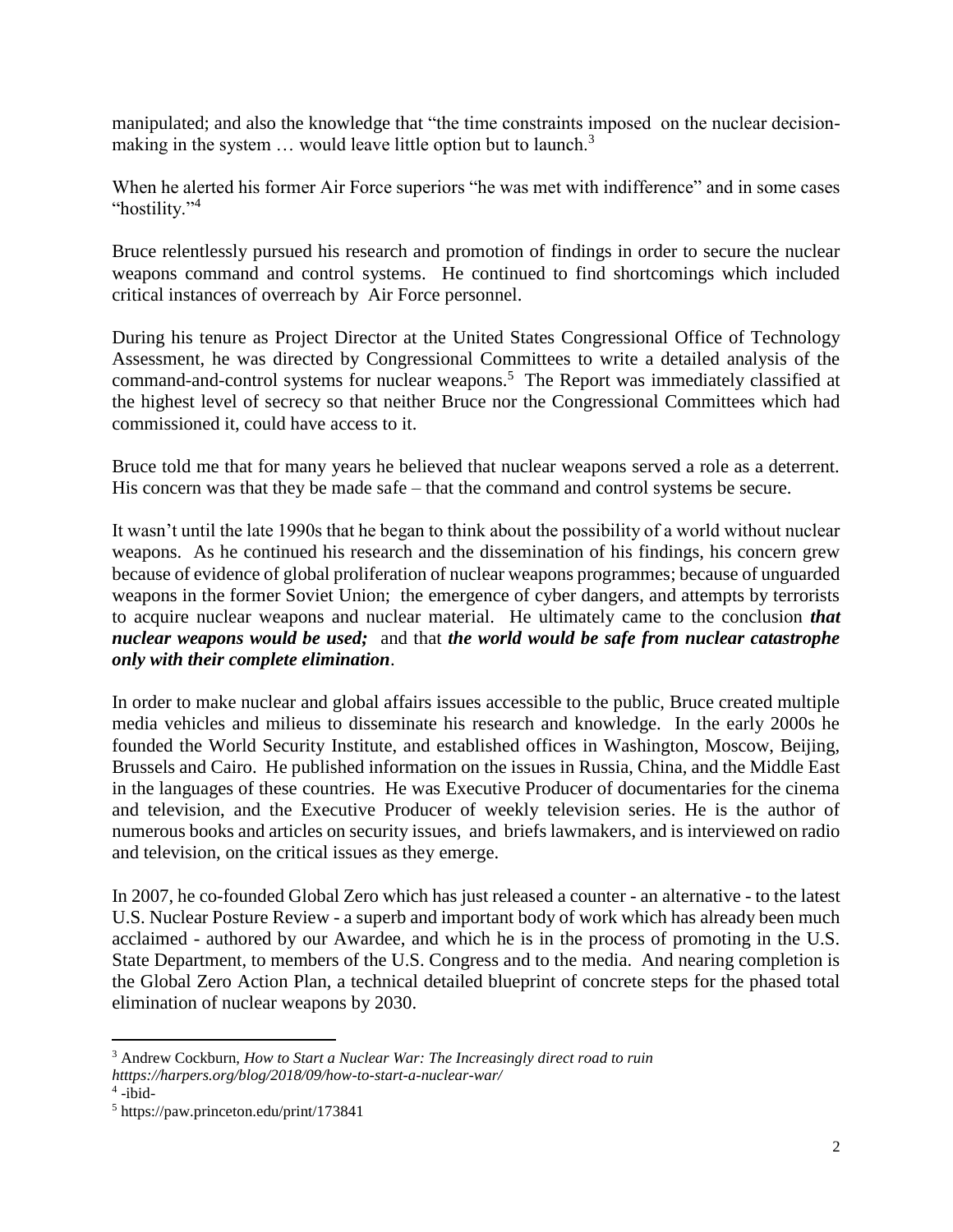manipulated; and also the knowledge that "the time constraints imposed on the nuclear decisionmaking in the system  $\ldots$  would leave little option but to launch.<sup>3</sup>

When he alerted his former Air Force superiors "he was met with indifference" and in some cases "hostility."<sup>4</sup>

Bruce relentlessly pursued his research and promotion of findings in order to secure the nuclear weapons command and control systems. He continued to find shortcomings which included critical instances of overreach by Air Force personnel.

During his tenure as Project Director at the United States Congressional Office of Technology Assessment, he was directed by Congressional Committees to write a detailed analysis of the command-and-control systems for nuclear weapons.<sup>5</sup> The Report was immediately classified at the highest level of secrecy so that neither Bruce nor the Congressional Committees which had commissioned it, could have access to it.

Bruce told me that for many years he believed that nuclear weapons served a role as a deterrent. His concern was that they be made safe – that the command and control systems be secure.

It wasn't until the late 1990s that he began to think about the possibility of a world without nuclear weapons. As he continued his research and the dissemination of his findings, his concern grew because of evidence of global proliferation of nuclear weapons programmes; because of unguarded weapons in the former Soviet Union; the emergence of cyber dangers, and attempts by terrorists to acquire nuclear weapons and nuclear material. He ultimately came to the conclusion *that nuclear weapons would be used;* and that *the world would be safe from nuclear catastrophe only with their complete elimination*.

In order to make nuclear and global affairs issues accessible to the public, Bruce created multiple media vehicles and milieus to disseminate his research and knowledge. In the early 2000s he founded the World Security Institute, and established offices in Washington, Moscow, Beijing, Brussels and Cairo. He published information on the issues in Russia, China, and the Middle East in the languages of these countries. He was Executive Producer of documentaries for the cinema and television, and the Executive Producer of weekly television series. He is the author of numerous books and articles on security issues, and briefs lawmakers, and is interviewed on radio and television, on the critical issues as they emerge.

In 2007, he co-founded Global Zero which has just released a counter - an alternative - to the latest U.S. Nuclear Posture Review - a superb and important body of work which has already been much acclaimed - authored by our Awardee, and which he is in the process of promoting in the U.S. State Department, to members of the U.S. Congress and to the media. And nearing completion is the Global Zero Action Plan, a technical detailed blueprint of concrete steps for the phased total elimination of nuclear weapons by 2030.

 $\overline{a}$ 

<sup>3</sup> Andrew Cockburn, *How to Start a Nuclear War: The Increasingly direct road to ruin* 

*htttps://harpers.org/blog/2018/09/how-to-start-a-nuclear-war/*

 $4$ -ibid-

<sup>5</sup> https://paw.princeton.edu/print/173841